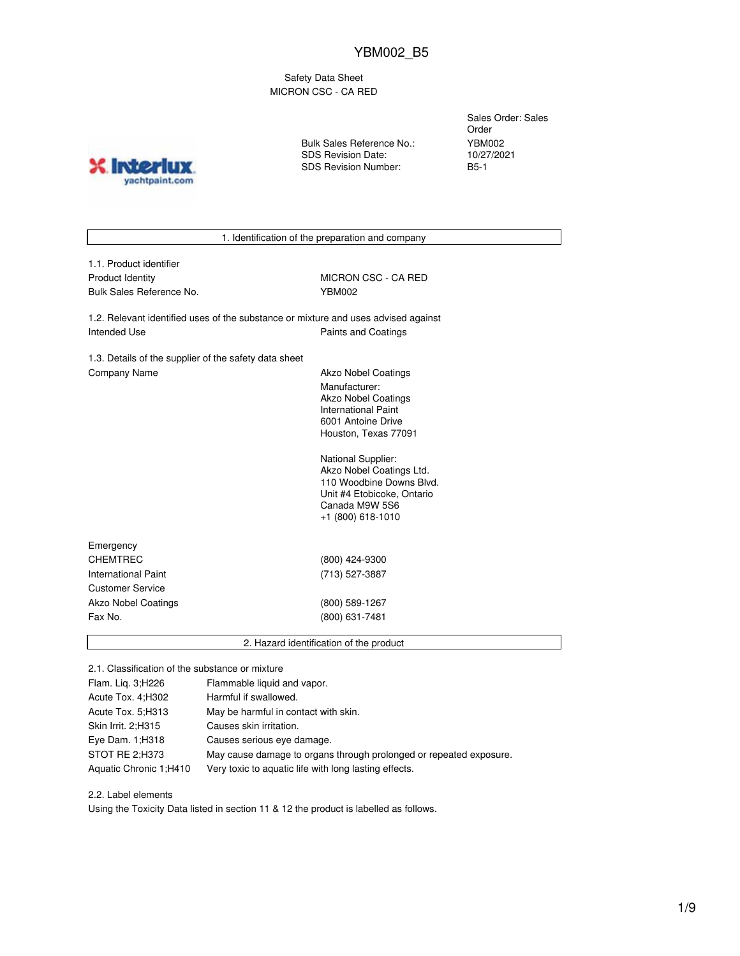Safety Data Sheet MICRON CSC - CA RED

**X** Inter yachtpaint.com Bulk Sales Reference No.: SDS Revision Date: SDS Revision Number:

Sales Order: Sales Order YBM002 10/27/2021 B5-1

1. Identification of the preparation and company

1.1. Product identifier Product Identity MICRON CSC - CA RED Bulk Sales Reference No. YBM002

1.2. Relevant identified uses of the substance or mixture and uses advised against Intended Use **Paints and Coatings** 

1.3. Details of the supplier of the safety data sheet Company Name **Akzo Nobel Coatings** 

Manufacturer: Akzo Nobel Coatings International Paint 6001 Antoine Drive Houston, Texas 77091

National Supplier: Akzo Nobel Coatings Ltd. 110 Woodbine Downs Blvd. Unit #4 Etobicoke, Ontario Canada M9W 5S6 +1 (800) 618-1010

| Emergency               |                |  |
|-------------------------|----------------|--|
| <b>CHEMTREC</b>         | (800) 424-9300 |  |
| International Paint     | (713) 527-3887 |  |
| <b>Customer Service</b> |                |  |
| Akzo Nobel Coatings     | (800) 589-1267 |  |
| Fax No.                 | (800) 631-7481 |  |
|                         |                |  |

2. Hazard identification of the product

2.1. Classification of the substance or mixture

| Flam. Lig. 3; H226     | Flammable liquid and vapor.                                        |
|------------------------|--------------------------------------------------------------------|
| Acute Tox. 4; H302     | Harmful if swallowed.                                              |
| Acute Tox. 5; H313     | May be harmful in contact with skin.                               |
| Skin Irrit. 2:H315     | Causes skin irritation.                                            |
| Eye Dam. 1; H318       | Causes serious eye damage.                                         |
| STOT RE 2;H373         | May cause damage to organs through prolonged or repeated exposure. |
| Aquatic Chronic 1:H410 | Very toxic to aquatic life with long lasting effects.              |

2.2. Label elements

Using the Toxicity Data listed in section 11 & 12 the product is labelled as follows.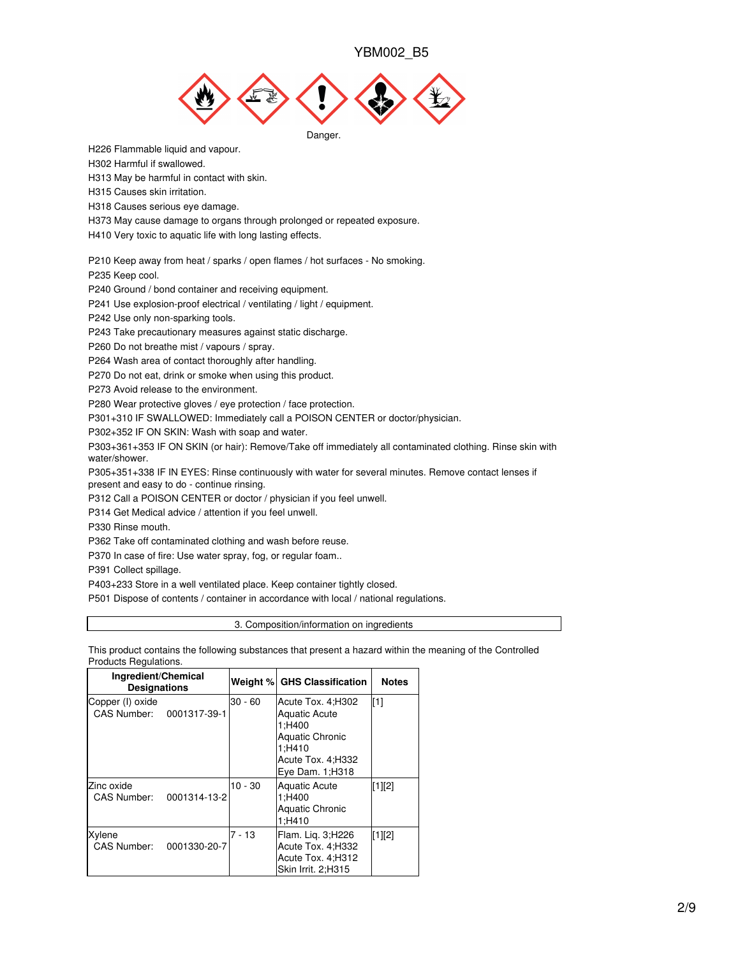

H226 Flammable liquid and vapour.

H302 Harmful if swallowed.

H313 May be harmful in contact with skin.

H315 Causes skin irritation.

H318 Causes serious eye damage.

H373 May cause damage to organs through prolonged or repeated exposure.

H410 Very toxic to aquatic life with long lasting effects.

P210 Keep away from heat / sparks / open flames / hot surfaces - No smoking.

P235 Keep cool.

P240 Ground / bond container and receiving equipment.

P241 Use explosion-proof electrical / ventilating / light / equipment.

P242 Use only non-sparking tools.

P243 Take precautionary measures against static discharge.

P260 Do not breathe mist / vapours / spray.

P264 Wash area of contact thoroughly after handling.

P270 Do not eat, drink or smoke when using this product.

P273 Avoid release to the environment.

P280 Wear protective gloves / eye protection / face protection.

P301+310 IF SWALLOWED: Immediately call a POISON CENTER or doctor/physician.

P302+352 IF ON SKIN: Wash with soap and water.

P303+361+353 IF ON SKIN (or hair): Remove/Take off immediately all contaminated clothing. Rinse skin with water/shower.

P305+351+338 IF IN EYES: Rinse continuously with water for several minutes. Remove contact lenses if present and easy to do - continue rinsing.

P312 Call a POISON CENTER or doctor / physician if you feel unwell.

P314 Get Medical advice / attention if you feel unwell.

P330 Rinse mouth.

P362 Take off contaminated clothing and wash before reuse.

P370 In case of fire: Use water spray, fog, or regular foam..

P391 Collect spillage.

P403+233 Store in a well ventilated place. Keep container tightly closed.

P501 Dispose of contents / container in accordance with local / national regulations.

3. Composition/information on ingredients

This product contains the following substances that present a hazard within the meaning of the Controlled Products Regulations.

| Ingredient/Chemical<br><b>Designations</b>   |              |           | Weight % GHS Classification                                                                                                       | <b>Notes</b> |
|----------------------------------------------|--------------|-----------|-----------------------------------------------------------------------------------------------------------------------------------|--------------|
| Copper (I) oxide<br>CAS Number: 0001317-39-1 |              | $30 - 60$ | Acute Tox. 4: H302<br><b>Aquatic Acute</b><br>1:H400<br><b>Aquatic Chronic</b><br>1:H410<br>Acute Tox. 4;H332<br>Eye Dam. 1; H318 | [1]          |
| Zinc oxide<br>CAS Number:                    | 0001314-13-2 | $10 - 30$ | Aquatic Acute<br>1:H400<br><b>Aquatic Chronic</b><br>1:H410                                                                       | $[1][2]$     |
| Xylene<br>CAS Number:                        | 0001330-20-7 | $7 - 13$  | Flam. Lig. 3;H226<br>Acute Tox. 4;H332<br>Acute Tox. 4;H312<br>Skin Irrit. 2;H315                                                 | $[1][2]$     |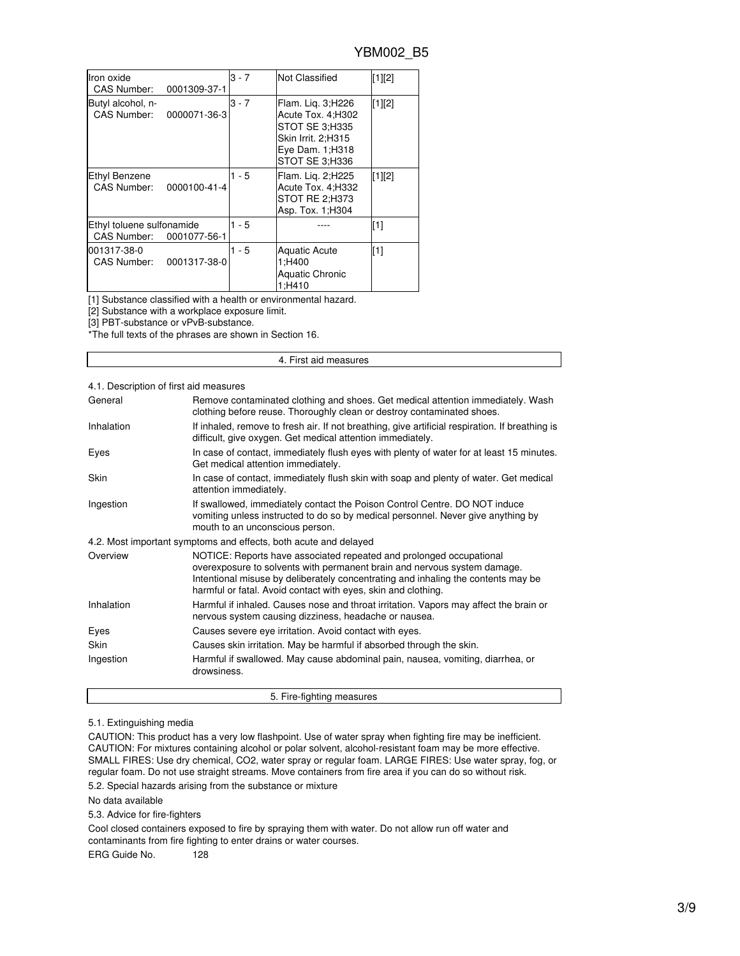| Iron oxide<br>CAS Number:                | 0001309-37-1 | $3 - 7$ | Not Classified                                                                                                       | [1][2] |
|------------------------------------------|--------------|---------|----------------------------------------------------------------------------------------------------------------------|--------|
| Butyl alcohol, n-<br>CAS Number:         | 0000071-36-3 | $3 - 7$ | Flam. Lig. 3; H226<br>Acute Tox. 4;H302<br>STOT SE 3:H335<br>Skin Irrit. 2:H315<br>Eye Dam. 1;H318<br>STOT SE 3:H336 | [1][2] |
| Ethyl Benzene<br>CAS Number:             | 0000100-41-4 | $1 - 5$ | Flam. Lig. 2;H225<br>Acute Tox. 4;H332<br><b>STOT RE 2:H373</b><br>Asp. Tox. 1:H304                                  | [1][2] |
| Ethyl toluene sulfonamide<br>CAS Number: | 0001077-56-1 | $1 - 5$ |                                                                                                                      | [1]    |
| 001317-38-0<br>CAS Number:               | 0001317-38-0 | $1 - 5$ | <b>Aquatic Acute</b><br>1:H400<br><b>Aquatic Chronic</b><br>1:H410                                                   | $[1]$  |

[1] Substance classified with a health or environmental hazard.

[2] Substance with a workplace exposure limit.

[3] PBT-substance or vPvB-substance.

\*The full texts of the phrases are shown in Section 16.

### 4. First aid measures

## 4.1. Description of first aid measures

| General     | Remove contaminated clothing and shoes. Get medical attention immediately. Wash<br>clothing before reuse. Thoroughly clean or destroy contaminated shoes.                                                                                                                                             |
|-------------|-------------------------------------------------------------------------------------------------------------------------------------------------------------------------------------------------------------------------------------------------------------------------------------------------------|
| Inhalation  | If inhaled, remove to fresh air. If not breathing, give artificial respiration. If breathing is<br>difficult, give oxygen. Get medical attention immediately.                                                                                                                                         |
| Eyes        | In case of contact, immediately flush eyes with plenty of water for at least 15 minutes.<br>Get medical attention immediately.                                                                                                                                                                        |
| <b>Skin</b> | In case of contact, immediately flush skin with soap and plenty of water. Get medical<br>attention immediately.                                                                                                                                                                                       |
| Ingestion   | If swallowed, immediately contact the Poison Control Centre. DO NOT induce<br>vomiting unless instructed to do so by medical personnel. Never give anything by<br>mouth to an unconscious person.                                                                                                     |
|             | 4.2. Most important symptoms and effects, both acute and delayed                                                                                                                                                                                                                                      |
| Overview    | NOTICE: Reports have associated repeated and prolonged occupational<br>overexposure to solvents with permanent brain and nervous system damage.<br>Intentional misuse by deliberately concentrating and inhaling the contents may be<br>harmful or fatal. Avoid contact with eyes, skin and clothing. |
| Inhalation  | Harmful if inhaled. Causes nose and throat irritation. Vapors may affect the brain or<br>nervous system causing dizziness, headache or nausea.                                                                                                                                                        |
| Eyes        | Causes severe eye irritation. Avoid contact with eyes.                                                                                                                                                                                                                                                |
| Skin        | Causes skin irritation. May be harmful if absorbed through the skin.                                                                                                                                                                                                                                  |
| Ingestion   | Harmful if swallowed. May cause abdominal pain, nausea, vomiting, diarrhea, or<br>drowsiness.                                                                                                                                                                                                         |

## 5.1. Extinguishing media

CAUTION: This product has a very low flashpoint. Use of water spray when fighting fire may be inefficient. CAUTION: For mixtures containing alcohol or polar solvent, alcohol-resistant foam may be more effective. SMALL FIRES: Use dry chemical, CO2, water spray or regular foam. LARGE FIRES: Use water spray, fog, or regular foam. Do not use straight streams. Move containers from fire area if you can do so without risk.

5. Fire-fighting measures

5.2. Special hazards arising from the substance or mixture

No data available

5.3. Advice for fire-fighters

Cool closed containers exposed to fire by spraying them with water. Do not allow run off water and contaminants from fire fighting to enter drains or water courses.

ERG Guide No. 128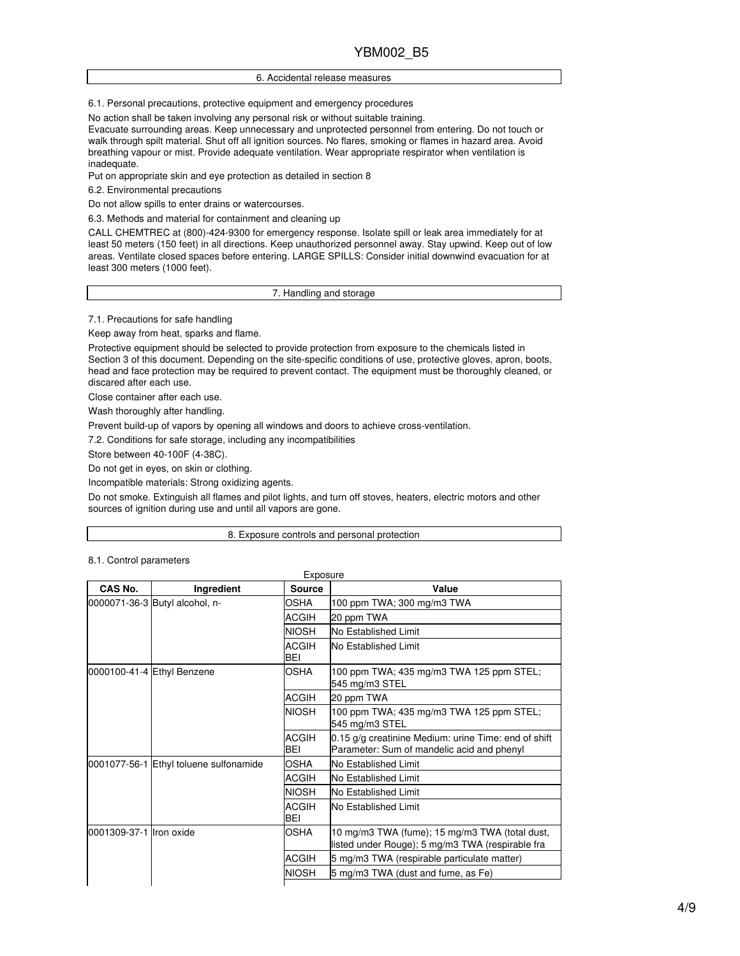### 6. Accidental release measures

6.1. Personal precautions, protective equipment and emergency procedures

No action shall be taken involving any personal risk or without suitable training.

Evacuate surrounding areas. Keep unnecessary and unprotected personnel from entering. Do not touch or walk through spilt material. Shut off all ignition sources. No flares, smoking or flames in hazard area. Avoid breathing vapour or mist. Provide adequate ventilation. Wear appropriate respirator when ventilation is inadequate.

Put on appropriate skin and eye protection as detailed in section 8

6.2. Environmental precautions

Do not allow spills to enter drains or watercourses.

6.3. Methods and material for containment and cleaning up

CALL CHEMTREC at (800)-424-9300 for emergency response. Isolate spill or leak area immediately for at least 50 meters (150 feet) in all directions. Keep unauthorized personnel away. Stay upwind. Keep out of low areas. Ventilate closed spaces before entering. LARGE SPILLS: Consider initial downwind evacuation for at least 300 meters (1000 feet).

7. Handling and storage

7.1. Precautions for safe handling

Keep away from heat, sparks and flame.

Protective equipment should be selected to provide protection from exposure to the chemicals listed in Section 3 of this document. Depending on the site-specific conditions of use, protective gloves, apron, boots, head and face protection may be required to prevent contact. The equipment must be thoroughly cleaned, or discared after each use.

Close container after each use.

Wash thoroughly after handling.

Prevent build-up of vapors by opening all windows and doors to achieve cross-ventilation.

7.2. Conditions for safe storage, including any incompatibilities

Store between 40-100F (4-38C).

Do not get in eyes, on skin or clothing.

Incompatible materials: Strong oxidizing agents.

Do not smoke. Extinguish all flames and pilot lights, and turn off stoves, heaters, electric motors and other sources of ignition during use and until all vapors are gone.

#### 8. Exposure controls and personal protection

|  | 8.1. Control parameters |
|--|-------------------------|
|--|-------------------------|

| CAS No.                 | Ingredient                             | Source                                                                                             | Value                                                      |
|-------------------------|----------------------------------------|----------------------------------------------------------------------------------------------------|------------------------------------------------------------|
|                         | 0000071-36-3 Butyl alcohol, n-         | OSHA                                                                                               | 100 ppm TWA; 300 mg/m3 TWA                                 |
|                         |                                        | <b>ACGIH</b>                                                                                       | 20 ppm TWA                                                 |
|                         |                                        | <b>NIOSH</b>                                                                                       | No Established Limit                                       |
|                         |                                        | <b>ACGIH</b><br>BEI                                                                                | <b>INo Established Limit</b>                               |
|                         | 0000100-41-4 Ethyl Benzene             | <b>OSHA</b>                                                                                        | 100 ppm TWA; 435 mg/m3 TWA 125 ppm STEL;<br>545 mg/m3 STEL |
|                         |                                        | <b>ACGIH</b>                                                                                       | 20 ppm TWA                                                 |
|                         | <b>NIOSH</b>                           | 100 ppm TWA; 435 mg/m3 TWA 125 ppm STEL;<br>545 mg/m3 STEL                                         |                                                            |
|                         | <b>ACGIH</b><br>BEI                    | 0.15 g/g creatinine Medium: urine Time: end of shift<br>Parameter: Sum of mandelic acid and phenyl |                                                            |
|                         | 0001077-56-1 Ethyl toluene sulfonamide | <b>OSHA</b>                                                                                        | <b>INo Established Limit</b>                               |
|                         | <b>ACGIH</b>                           | lNo Established Limit                                                                              |                                                            |
|                         |                                        | <b>NIOSH</b>                                                                                       | No Established Limit                                       |
|                         |                                        | <b>ACGIH</b><br>BEI                                                                                | <b>No Established Limit</b>                                |
| 0001309-37-1 Iron oxide | <b>OSHA</b>                            | 10 mg/m3 TWA (fume); 15 mg/m3 TWA (total dust,<br>listed under Rouge); 5 mg/m3 TWA (respirable fra |                                                            |
|                         |                                        | <b>ACGIH</b>                                                                                       | 5 mg/m3 TWA (respirable particulate matter)                |
|                         |                                        | <b>NIOSH</b>                                                                                       | 5 mg/m3 TWA (dust and fume, as Fe)                         |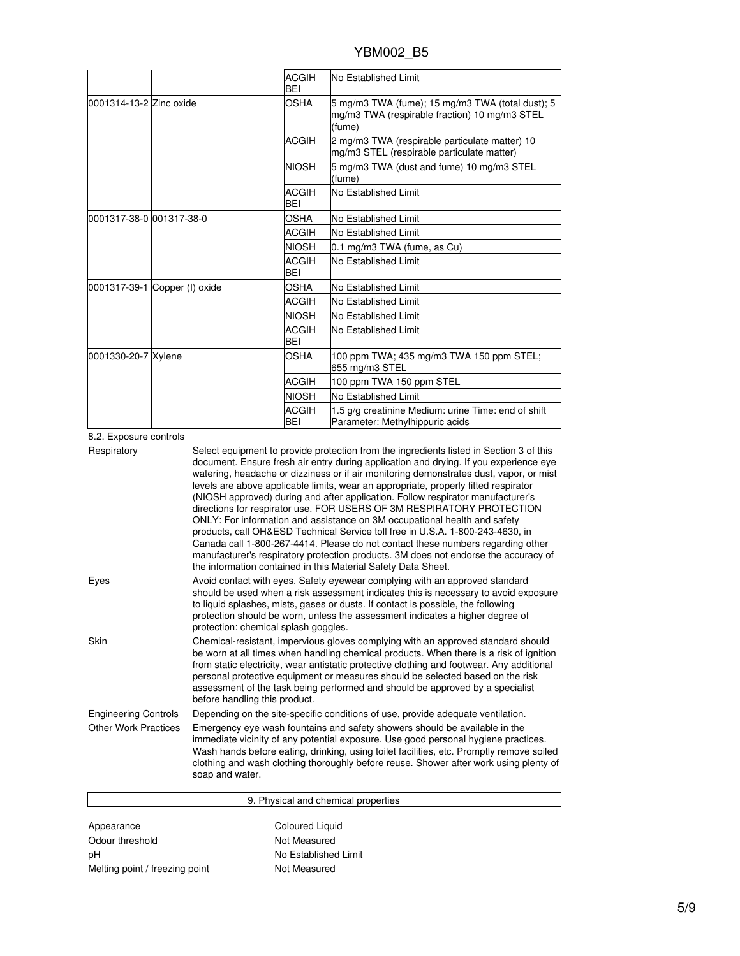|                          |                               | <b>ACGIH</b><br>BEI                                                                                         | No Established Limit                                                                         |
|--------------------------|-------------------------------|-------------------------------------------------------------------------------------------------------------|----------------------------------------------------------------------------------------------|
| 0001314-13-2 Zinc oxide  | <b>OSHA</b>                   | 5 mg/m3 TWA (fume); 15 mg/m3 TWA (total dust); 5<br>mg/m3 TWA (respirable fraction) 10 mg/m3 STEL<br>(fume) |                                                                                              |
|                          |                               | <b>ACGIH</b>                                                                                                | 2 mg/m3 TWA (respirable particulate matter) 10<br>mg/m3 STEL (respirable particulate matter) |
|                          |                               | <b>NIOSH</b>                                                                                                | 5 mg/m3 TWA (dust and fume) 10 mg/m3 STEL<br>(fume)                                          |
|                          |                               | <b>ACGIH</b><br>BEI                                                                                         | No Established Limit                                                                         |
| 0001317-38-0 001317-38-0 |                               | OSHA                                                                                                        | No Established Limit                                                                         |
|                          |                               | ACGIH                                                                                                       | No Established Limit                                                                         |
|                          | <b>NIOSH</b>                  | 0.1 mg/m3 TWA (fume, as Cu)                                                                                 |                                                                                              |
|                          |                               | <b>ACGIH</b><br>BEI                                                                                         | No Established Limit                                                                         |
|                          | 0001317-39-1 Copper (I) oxide | <b>OSHA</b>                                                                                                 | No Established Limit                                                                         |
|                          |                               | <b>ACGIH</b>                                                                                                | No Established Limit                                                                         |
|                          |                               | <b>NIOSH</b>                                                                                                | No Established Limit                                                                         |
|                          |                               | <b>ACGIH</b><br><b>BEI</b>                                                                                  | No Established Limit                                                                         |
| 0001330-20-7 Xylene      |                               | OSHA                                                                                                        | 100 ppm TWA; 435 mg/m3 TWA 150 ppm STEL;<br>655 mg/m3 STEL                                   |
|                          |                               | <b>ACGIH</b>                                                                                                | 100 ppm TWA 150 ppm STEL                                                                     |
|                          |                               | <b>NIOSH</b>                                                                                                | No Established Limit                                                                         |
|                          |                               | <b>ACGIH</b><br>BEI                                                                                         | 1.5 g/g creatinine Medium: urine Time: end of shift<br>Parameter: Methylhippuric acids       |

8.2. Exposure controls

| Respiratory                 | Select equipment to provide protection from the ingredients listed in Section 3 of this<br>document. Ensure fresh air entry during application and drying. If you experience eye<br>watering, headache or dizziness or if air monitoring demonstrates dust, vapor, or mist<br>levels are above applicable limits, wear an appropriate, properly fitted respirator<br>(NIOSH approved) during and after application. Follow respirator manufacturer's<br>directions for respirator use. FOR USERS OF 3M RESPIRATORY PROTECTION<br>ONLY: For information and assistance on 3M occupational health and safety<br>products, call OH&ESD Technical Service toll free in U.S.A. 1-800-243-4630, in<br>Canada call 1-800-267-4414. Please do not contact these numbers regarding other<br>manufacturer's respiratory protection products. 3M does not endorse the accuracy of<br>the information contained in this Material Safety Data Sheet. |
|-----------------------------|-----------------------------------------------------------------------------------------------------------------------------------------------------------------------------------------------------------------------------------------------------------------------------------------------------------------------------------------------------------------------------------------------------------------------------------------------------------------------------------------------------------------------------------------------------------------------------------------------------------------------------------------------------------------------------------------------------------------------------------------------------------------------------------------------------------------------------------------------------------------------------------------------------------------------------------------|
| Eyes                        | Avoid contact with eyes. Safety eyewear complying with an approved standard<br>should be used when a risk assessment indicates this is necessary to avoid exposure<br>to liquid splashes, mists, gases or dusts. If contact is possible, the following<br>protection should be worn, unless the assessment indicates a higher degree of<br>protection: chemical splash goggles.                                                                                                                                                                                                                                                                                                                                                                                                                                                                                                                                                         |
| Skin                        | Chemical-resistant, impervious gloves complying with an approved standard should<br>be worn at all times when handling chemical products. When there is a risk of ignition<br>from static electricity, wear antistatic protective clothing and footwear. Any additional<br>personal protective equipment or measures should be selected based on the risk<br>assessment of the task being performed and should be approved by a specialist<br>before handling this product.                                                                                                                                                                                                                                                                                                                                                                                                                                                             |
| <b>Engineering Controls</b> | Depending on the site-specific conditions of use, provide adequate ventilation.                                                                                                                                                                                                                                                                                                                                                                                                                                                                                                                                                                                                                                                                                                                                                                                                                                                         |
| <b>Other Work Practices</b> | Emergency eye wash fountains and safety showers should be available in the<br>immediate vicinity of any potential exposure. Use good personal hygiene practices.<br>Wash hands before eating, drinking, using toilet facilities, etc. Promptly remove soiled<br>clothing and wash clothing thoroughly before reuse. Shower after work using plenty of<br>soap and water.                                                                                                                                                                                                                                                                                                                                                                                                                                                                                                                                                                |

| 9. Physical and chemical properties |                      |
|-------------------------------------|----------------------|
| Appearance                          | Coloured Liquid      |
| Odour threshold                     | Not Measured         |
| рH                                  | No Established Limit |
| Melting point / freezing point      | Not Measured         |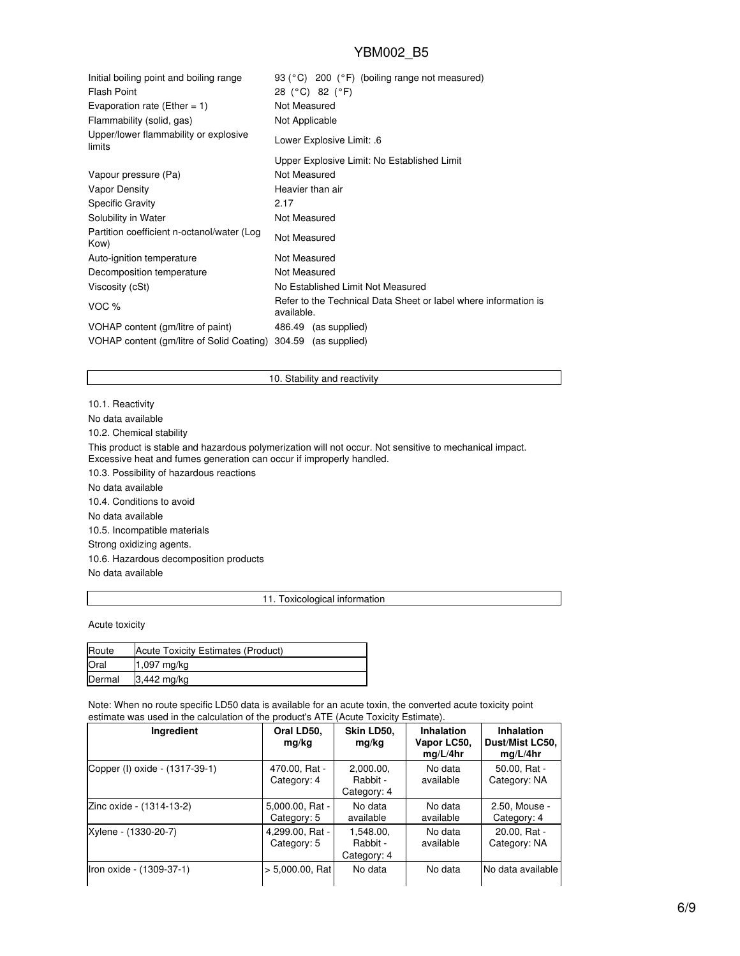| Initial boiling point and boiling range<br><b>Flash Point</b><br>Evaporation rate (Ether = 1) | 93 (°C) 200 (°F) (boiling range not measured)<br>28 (°C) 82 (°F)<br>Not Measured |
|-----------------------------------------------------------------------------------------------|----------------------------------------------------------------------------------|
| Flammability (solid, gas)                                                                     | Not Applicable                                                                   |
| Upper/lower flammability or explosive<br>limits                                               | Lower Explosive Limit: .6                                                        |
|                                                                                               | Upper Explosive Limit: No Established Limit                                      |
| Vapour pressure (Pa)                                                                          | Not Measured                                                                     |
| <b>Vapor Density</b>                                                                          | Heavier than air                                                                 |
| <b>Specific Gravity</b>                                                                       | 2.17                                                                             |
| Solubility in Water                                                                           | Not Measured                                                                     |
| Partition coefficient n-octanol/water (Log<br>Kow)                                            | Not Measured                                                                     |
| Auto-ignition temperature                                                                     | Not Measured                                                                     |
| Decomposition temperature                                                                     | Not Measured                                                                     |
| Viscosity (cSt)                                                                               | No Established Limit Not Measured                                                |
| VOC %                                                                                         | Refer to the Technical Data Sheet or label where information is<br>available.    |
| VOHAP content (gm/litre of paint)                                                             | 486.49 (as supplied)                                                             |
| VOHAP content (gm/litre of Solid Coating)                                                     | 304.59 (as supplied)                                                             |

## 10. Stability and reactivity

10.1. Reactivity No data available 10.2. Chemical stability This product is stable and hazardous polymerization will not occur. Not sensitive to mechanical impact. Excessive heat and fumes generation can occur if improperly handled. 10.3. Possibility of hazardous reactions No data available 10.4. Conditions to avoid No data available 10.5. Incompatible materials Strong oxidizing agents. 10.6. Hazardous decomposition products No data available

### 11. Toxicological information

Acute toxicity

| Route  | Acute Toxicity Estimates (Product) |
|--------|------------------------------------|
| Oral   | 1,097 mg/kg                        |
| Dermal | $3,442$ mg/kg                      |

Note: When no route specific LD50 data is available for an acute toxin, the converted acute toxicity point estimate was used in the calculation of the product's ATE (Acute Toxicity Estimate).

| Ingredient                     | Oral LD50,<br>mg/kg            | Skin LD50,<br>mg/kg                  | <b>Inhalation</b><br>Vapor LC50.<br>mq/L/4hr | <b>Inhalation</b><br>Dust/Mist LC50,<br>mq/L/4hr |
|--------------------------------|--------------------------------|--------------------------------------|----------------------------------------------|--------------------------------------------------|
| Copper (I) oxide - (1317-39-1) | 470.00, Rat -<br>Category: 4   | 2,000.00,<br>Rabbit -<br>Category: 4 | No data<br>available                         | 50.00, Rat -<br>Category: NA                     |
| Zinc oxide - (1314-13-2)       | 5,000.00, Rat -<br>Category: 5 | No data<br>available                 | No data<br>available                         | 2.50, Mouse -<br>Category: 4                     |
| Xylene - (1330-20-7)           | 4,299.00, Rat -<br>Category: 5 | 1.548.00.<br>Rabbit -<br>Category: 4 | No data<br>available                         | 20.00, Rat -<br>Category: NA                     |
| Iron oxide - (1309-37-1)       | $> 5.000.00$ , Rat             | No data                              | No data                                      | No data available                                |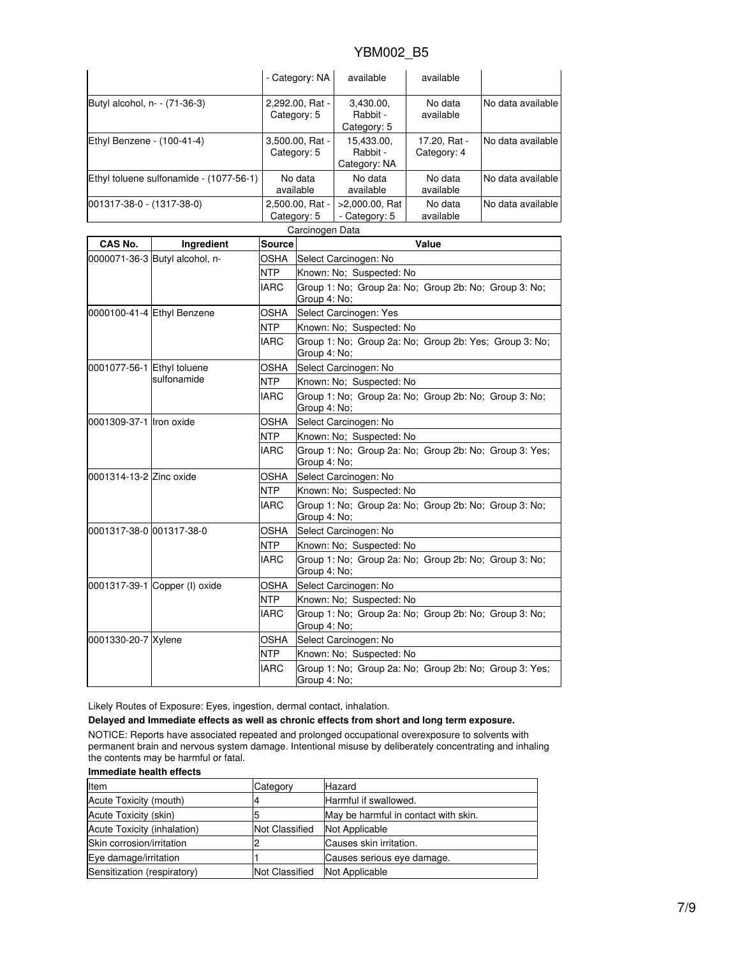|                               |                                         | - Category: NA                                                         |                                                                        | available                                                             | available                   |                   |  |
|-------------------------------|-----------------------------------------|------------------------------------------------------------------------|------------------------------------------------------------------------|-----------------------------------------------------------------------|-----------------------------|-------------------|--|
| Butyl alcohol, n- - (71-36-3) |                                         | 2,292.00, Rat -<br>Category: 5                                         |                                                                        | 3,430.00,<br>Rabbit -<br>Category: 5                                  | No data<br>available        | No data available |  |
| Ethyl Benzene - (100-41-4)    |                                         | 3,500.00, Rat -<br>Category: 5                                         |                                                                        | 15,433.00,<br>Rabbit -<br>Category: NA                                | 17.20, Rat -<br>Category: 4 | No data available |  |
|                               | Ethyl toluene sulfonamide - (1077-56-1) |                                                                        | No data<br>available                                                   | No data<br>available                                                  | No data<br>available        | No data available |  |
| 001317-38-0 - (1317-38-0)     |                                         | 2,500.00, Rat -<br>Category: 5                                         |                                                                        | >2,000.00, Rat<br>- Category: 5                                       | No data<br>available        | No data available |  |
|                               |                                         |                                                                        | Carcinogen Data                                                        |                                                                       |                             |                   |  |
| CAS No.                       | Ingredient                              | Source                                                                 |                                                                        |                                                                       | Value                       |                   |  |
|                               | 0000071-36-3 Butyl alcohol, n-          | OSHA                                                                   | Select Carcinogen: No                                                  |                                                                       |                             |                   |  |
|                               |                                         | NTP                                                                    | Known: No; Suspected: No                                               |                                                                       |                             |                   |  |
|                               |                                         | <b>IARC</b>                                                            |                                                                        | Group 1: No; Group 2a: No; Group 2b: No; Group 3: No;<br>Group 4: No: |                             |                   |  |
| 0000100-41-4 Ethyl Benzene    | OSHA                                    | Select Carcinogen: Yes                                                 |                                                                        |                                                                       |                             |                   |  |
|                               | <b>NTP</b>                              | Known: No; Suspected: No                                               |                                                                        |                                                                       |                             |                   |  |
|                               | <b>IARC</b>                             | Group 1: No; Group 2a: No; Group 2b: Yes; Group 3: No;<br>Group 4: No; |                                                                        |                                                                       |                             |                   |  |
| 0001077-56-1 Ethyl toluene    |                                         | OSHA                                                                   |                                                                        | Select Carcinogen: No                                                 |                             |                   |  |
|                               | sulfonamide                             | <b>NTP</b>                                                             |                                                                        | Known: No; Suspected: No                                              |                             |                   |  |
|                               | <b>IARC</b>                             | Group 4: No;                                                           | Group 1: No; Group 2a: No; Group 2b: No; Group 3: No;                  |                                                                       |                             |                   |  |
| 0001309-37-1 Iron oxide       |                                         | OSHA                                                                   | Select Carcinogen: No                                                  |                                                                       |                             |                   |  |
|                               |                                         | NTP                                                                    |                                                                        | Known: No; Suspected: No                                              |                             |                   |  |
|                               |                                         | <b>IARC</b>                                                            | Group 1: No; Group 2a: No; Group 2b: No; Group 3: Yes;<br>Group 4: No; |                                                                       |                             |                   |  |
| 0001314-13-2 Zinc oxide       |                                         | OSHA                                                                   |                                                                        | Select Carcinogen: No                                                 |                             |                   |  |
|                               |                                         | <b>NTP</b>                                                             | Known: No; Suspected: No                                               |                                                                       |                             |                   |  |
|                               |                                         | IARC                                                                   | Group 1: No; Group 2a: No; Group 2b: No; Group 3: No;<br>Group 4: No;  |                                                                       |                             |                   |  |
| 0001317-38-0 001317-38-0      |                                         | OSHA                                                                   |                                                                        | Select Carcinogen: No                                                 |                             |                   |  |
|                               |                                         | <b>NTP</b>                                                             | Known: No; Suspected: No                                               |                                                                       |                             |                   |  |
|                               | <b>IARC</b>                             | Group 1: No; Group 2a: No; Group 2b: No; Group 3: No;<br>Group 4: No;  |                                                                        |                                                                       |                             |                   |  |
| 0001317-39-1 Copper (I) oxide |                                         | OSHA                                                                   |                                                                        | Select Carcinogen: No                                                 |                             |                   |  |
|                               |                                         | NTP                                                                    | Known: No; Suspected: No                                               |                                                                       |                             |                   |  |
|                               |                                         | <b>IARC</b>                                                            | Group 1: No; Group 2a: No; Group 2b: No; Group 3: No;<br>Group 4: No;  |                                                                       |                             |                   |  |
| 0001330-20-7 Xylene           |                                         | OSHA                                                                   |                                                                        | Select Carcinogen: No                                                 |                             |                   |  |
|                               |                                         | NTP                                                                    | Known: No; Suspected: No                                               |                                                                       |                             |                   |  |
|                               |                                         | <b>IARC</b>                                                            |                                                                        | Group 1: No; Group 2a: No; Group 2b: No; Group 3: Yes;                |                             |                   |  |

Likely Routes of Exposure: Eyes, ingestion, dermal contact, inhalation.

**Delayed and Immediate effects as well as chronic effects from short and long term exposure.**

NOTICE: Reports have associated repeated and prolonged occupational overexposure to solvents with permanent brain and nervous system damage. Intentional misuse by deliberately concentrating and inhaling the contents may be harmful or fatal.

Group 4: No;

## **Immediate health effects**

| Item                        | Category              | Hazard                               |
|-----------------------------|-----------------------|--------------------------------------|
| Acute Toxicity (mouth)      |                       | Harmful if swallowed.                |
| Acute Toxicity (skin)       |                       | May be harmful in contact with skin. |
| Acute Toxicity (inhalation) | <b>Not Classified</b> | Not Applicable                       |
| Skin corrosion/irritation   |                       | Causes skin irritation.              |
| Eye damage/irritation       |                       | Causes serious eye damage.           |
| Sensitization (respiratory) | <b>Not Classified</b> | Not Applicable                       |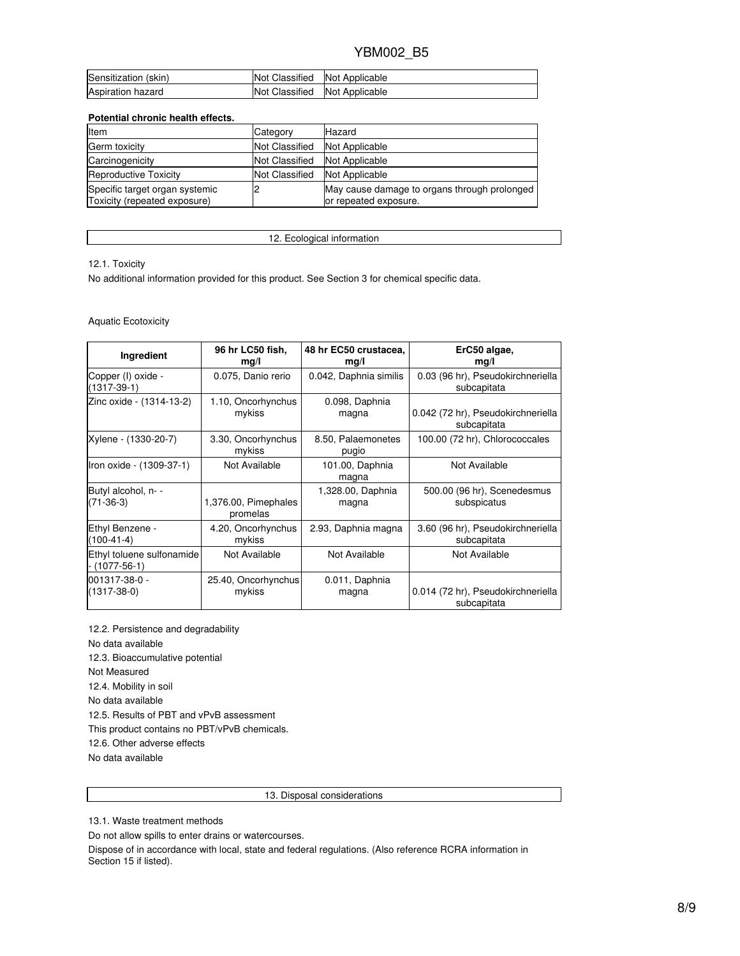| Sensitization (skin) | Not Classified        | Not Applicable |
|----------------------|-----------------------|----------------|
| Aspiration hazard    | <b>Not Classified</b> | Not Applicable |

## **Potential chronic health effects.**

| Item                                                           | Category              | Hazard                                                                |
|----------------------------------------------------------------|-----------------------|-----------------------------------------------------------------------|
| Germ toxicity                                                  | <b>Not Classified</b> | Not Applicable                                                        |
| Carcinogenicity                                                | <b>Not Classified</b> | Not Applicable                                                        |
| <b>Reproductive Toxicity</b>                                   | <b>Not Classified</b> | Not Applicable                                                        |
| Specific target organ systemic<br>Toxicity (repeated exposure) |                       | May cause damage to organs through prolonged<br>or repeated exposure. |

12. Ecological information

12.1. Toxicity

No additional information provided for this product. See Section 3 for chemical specific data.

### Aquatic Ecotoxicity

| Ingredient                                 | 96 hr LC50 fish,             | 48 hr EC50 crustacea,       | ErC50 algae,                                     |
|--------------------------------------------|------------------------------|-----------------------------|--------------------------------------------------|
|                                            | mg/l                         | mq/l                        | mg/l                                             |
| Copper (I) oxide -<br>$(1317-39-1)$        | 0.075, Danio rerio           | 0.042, Daphnia similis      | 0.03 (96 hr), Pseudokirchneriella<br>subcapitata |
| Zinc oxide - (1314-13-2)                   | 1.10, Oncorhynchus           | 0.098, Daphnia              | 0.042 (72 hr), Pseudokirchneriella               |
|                                            | mykiss                       | magna                       | subcapitata                                      |
| Xylene - (1330-20-7)                       | 3.30, Oncorhynchus<br>mykiss | 8.50, Palaemonetes<br>pugio | 100.00 (72 hr), Chlorococcales                   |
| Iron oxide - (1309-37-1)                   | Not Available                | 101.00, Daphnia<br>magna    | Not Available                                    |
| Butyl alcohol, n- -                        | 1,376.00, Pimephales         | 1,328.00, Daphnia           | 500.00 (96 hr), Scenedesmus                      |
| $(71-36-3)$                                | promelas                     | magna                       | subspicatus                                      |
| Ethyl Benzene -                            | 4.20, Oncorhynchus           | 2.93, Daphnia magna         | 3.60 (96 hr), Pseudokirchneriella                |
| $(100-41-4)$                               | mykiss                       |                             | subcapitata                                      |
| Ethyl toluene sulfonamide<br>- (1077-56-1) | Not Available                | Not Available               | Not Available                                    |
| 001317-38-0 -                              | 25.40, Oncorhynchus          | 0.011, Daphnia              | 0.014 (72 hr), Pseudokirchneriella               |
| $(1317 - 38 - 0)$                          | mykiss                       | magna                       | subcapitata                                      |

12.2. Persistence and degradability No data available 12.3. Bioaccumulative potential Not Measured 12.4. Mobility in soil No data available 12.5. Results of PBT and vPvB assessment This product contains no PBT/vPvB chemicals. 12.6. Other adverse effects No data available

13. Disposal considerations

13.1. Waste treatment methods

Do not allow spills to enter drains or watercourses.

Dispose of in accordance with local, state and federal regulations. (Also reference RCRA information in Section 15 if listed).